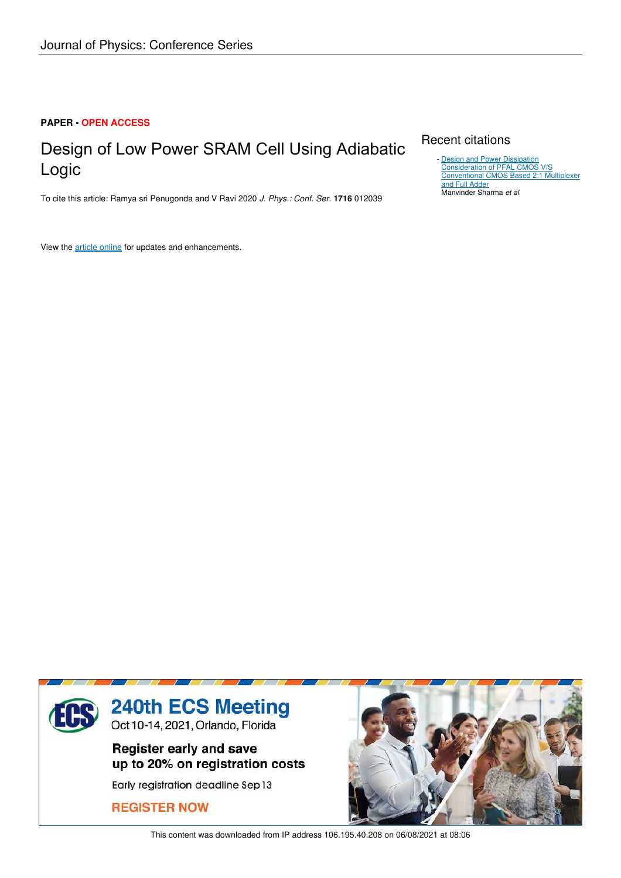### **PAPER • OPEN ACCESS**

# Design of Low Power SRAM Cell Using Adiabatic Logic

To cite this article: Ramya sri Penugonda and V Ravi 2020 *J. Phys.: Conf. Ser.* **1716** 012039

View the article online for updates and enhancements.

## Recent citations

**Design and Power Dissipation** Consideration of PFAL CMOS V/S Conventional CMOS Based 2:1 Multiplexer and Full Adder Manvinder Sharma *et al* -



This content was downloaded from IP address 106.195.40.208 on 06/08/2021 at 08:06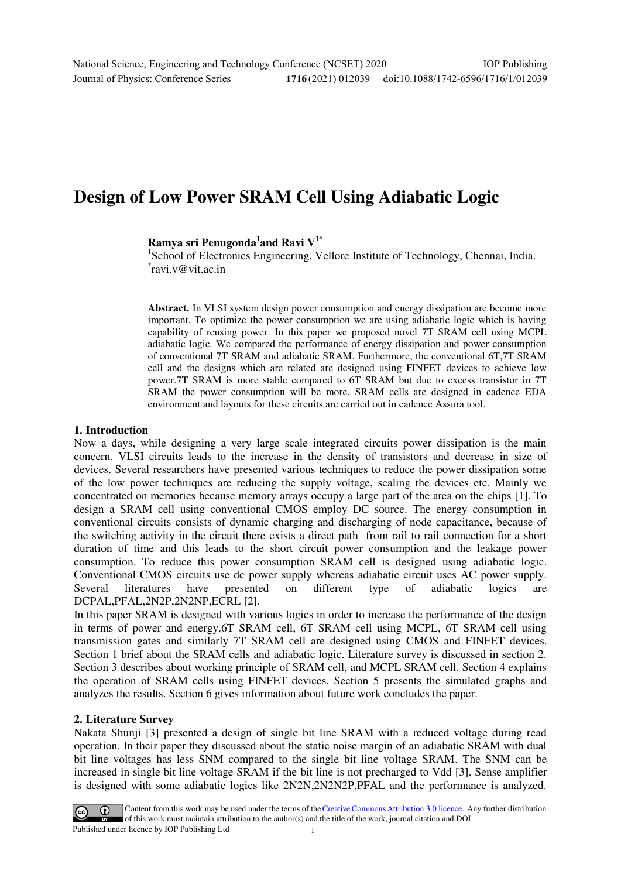### 1716(2021) 012039 doi:10.1088/1742-6596/1716/1/012039

# **Design of Low Power SRAM Cell Using Adiabatic Logic**

## **Ramya sri Penugonda<sup>1</sup> and Ravi V1\***

<sup>1</sup>School of Electronics Engineering, Vellore Institute of Technology, Chennai, India. \* ravi.v@vit.ac.in

**Abstract.** In VLSI system design power consumption and energy dissipation are become more important. To optimize the power consumption we are using adiabatic logic which is having capability of reusing power. In this paper we proposed novel 7T SRAM cell using MCPL adiabatic logic. We compared the performance of energy dissipation and power consumption of conventional 7T SRAM and adiabatic SRAM. Furthermore, the conventional 6T,7T SRAM cell and the designs which are related are designed using FINFET devices to achieve low power.7T SRAM is more stable compared to 6T SRAM but due to excess transistor in 7T SRAM the power consumption will be more. SRAM cells are designed in cadence EDA environment and layouts for these circuits are carried out in cadence Assura tool.

### **1. Introduction**

Now a days, while designing a very large scale integrated circuits power dissipation is the main concern. VLSI circuits leads to the increase in the density of transistors and decrease in size of devices. Several researchers have presented various techniques to reduce the power dissipation some of the low power techniques are reducing the supply voltage, scaling the devices etc. Mainly we concentrated on memories because memory arrays occupy a large part of the area on the chips [1]. To design a SRAM cell using conventional CMOS employ DC source. The energy consumption in conventional circuits consists of dynamic charging and discharging of node capacitance, because of the switching activity in the circuit there exists a direct path from rail to rail connection for a short duration of time and this leads to the short circuit power consumption and the leakage power consumption. To reduce this power consumption SRAM cell is designed using adiabatic logic. Conventional CMOS circuits use dc power supply whereas adiabatic circuit uses AC power supply. Several literatures have presented on different type of adiabatic logics are DCPAL,PFAL,2N2P,2N2NP,ECRL [2].

In this paper SRAM is designed with various logics in order to increase the performance of the design in terms of power and energy.6T SRAM cell, 6T SRAM cell using MCPL, 6T SRAM cell using transmission gates and similarly 7T SRAM cell are designed using CMOS and FINFET devices. Section 1 brief about the SRAM cells and adiabatic logic. Literature survey is discussed in section 2. Section 3 describes about working principle of SRAM cell, and MCPL SRAM cell. Section 4 explains the operation of SRAM cells using FINFET devices. Section 5 presents the simulated graphs and analyzes the results. Section 6 gives information about future work concludes the paper.

### **2. Literature Survey**

Nakata Shunji [3] presented a design of single bit line SRAM with a reduced voltage during read operation. In their paper they discussed about the static noise margin of an adiabatic SRAM with dual bit line voltages has less SNM compared to the single bit line voltage SRAM. The SNM can be increased in single bit line voltage SRAM if the bit line is not precharged to Vdd [3]. Sense amplifier is designed with some adiabatic logics like 2N2N,2N2N2P,PFAL and the performance is analyzed.

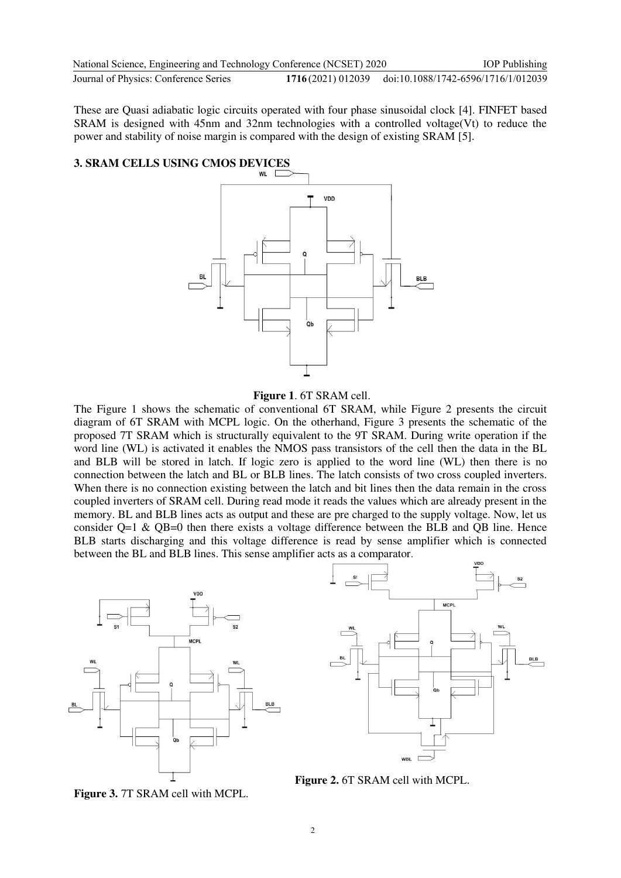| National Science, Engineering and Technology Conference (NCSET) 2020 |                                                       | <b>IOP</b> Publishing |
|----------------------------------------------------------------------|-------------------------------------------------------|-----------------------|
| Journal of Physics: Conference Series                                | 1716(2021) 012039 doi:10.1088/1742-6596/1716/1/012039 |                       |

These are Quasi adiabatic logic circuits operated with four phase sinusoidal clock [4]. FINFET based SRAM is designed with 45nm and 32nm technologies with a controlled voltage(Vt) to reduce the power and stability of noise margin is compared with the design of existing SRAM [5].

# **3. SRAM CELLS USING CMOS DEVICES**



### **Figure 1**. 6T SRAM cell.

The Figure 1 shows the schematic of conventional 6T SRAM, while Figure 2 presents the circuit diagram of 6T SRAM with MCPL logic. On the otherhand, Figure 3 presents the schematic of the proposed 7T SRAM which is structurally equivalent to the 9T SRAM. During write operation if the word line (WL) is activated it enables the NMOS pass transistors of the cell then the data in the BL and BLB will be stored in latch. If logic zero is applied to the word line (WL) then there is no connection between the latch and BL or BLB lines. The latch consists of two cross coupled inverters. When there is no connection existing between the latch and bit lines then the data remain in the cross coupled inverters of SRAM cell. During read mode it reads the values which are already present in the memory. BL and BLB lines acts as output and these are pre charged to the supply voltage. Now, let us consider Q=1 & QB=0 then there exists a voltage difference between the BLB and QB line. Hence BLB starts discharging and this voltage difference is read by sense amplifier which is connected between the BL and BLB lines. This sense amplifier acts as a comparator.





**Figure 2.** 6T SRAM cell with MCPL.

**Figure 3.** 7T SRAM cell with MCPL.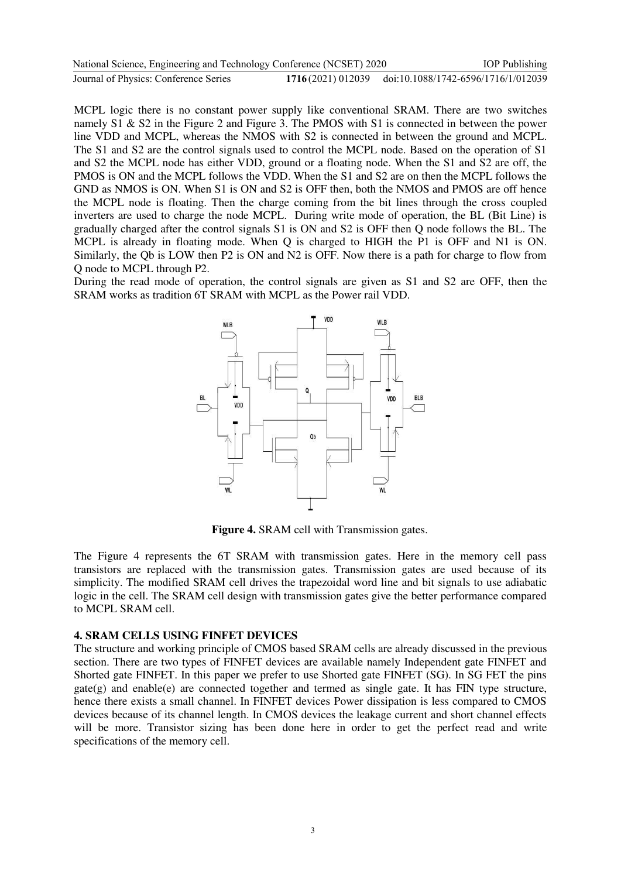| National Science, Engineering and Technology Conference (NCSET) 2020 | <b>IOP</b> Publishing                                 |
|----------------------------------------------------------------------|-------------------------------------------------------|
| Journal of Physics: Conference Series                                | 1716(2021) 012039 doi:10.1088/1742-6596/1716/1/012039 |

MCPL logic there is no constant power supply like conventional SRAM. There are two switches namely S1 & S2 in the Figure 2 and Figure 3. The PMOS with S1 is connected in between the power line VDD and MCPL, whereas the NMOS with S2 is connected in between the ground and MCPL. The S1 and S2 are the control signals used to control the MCPL node. Based on the operation of S1 and S2 the MCPL node has either VDD, ground or a floating node. When the S1 and S2 are off, the PMOS is ON and the MCPL follows the VDD. When the S1 and S2 are on then the MCPL follows the GND as NMOS is ON. When S1 is ON and S2 is OFF then, both the NMOS and PMOS are off hence the MCPL node is floating. Then the charge coming from the bit lines through the cross coupled inverters are used to charge the node MCPL. During write mode of operation, the BL (Bit Line) is gradually charged after the control signals S1 is ON and S2 is OFF then Q node follows the BL. The MCPL is already in floating mode. When Q is charged to HIGH the P1 is OFF and N1 is ON. Similarly, the Qb is LOW then P2 is ON and N2 is OFF. Now there is a path for charge to flow from Q node to MCPL through P2.

During the read mode of operation, the control signals are given as S1 and S2 are OFF, then the SRAM works as tradition 6T SRAM with MCPL as the Power rail VDD.



**Figure 4.** SRAM cell with Transmission gates.

The Figure 4 represents the 6T SRAM with transmission gates. Here in the memory cell pass transistors are replaced with the transmission gates. Transmission gates are used because of its simplicity. The modified SRAM cell drives the trapezoidal word line and bit signals to use adiabatic logic in the cell. The SRAM cell design with transmission gates give the better performance compared to MCPL SRAM cell.

#### **4. SRAM CELLS USING FINFET DEVICES**

The structure and working principle of CMOS based SRAM cells are already discussed in the previous section. There are two types of FINFET devices are available namely Independent gate FINFET and Shorted gate FINFET. In this paper we prefer to use Shorted gate FINFET (SG). In SG FET the pins  $gate(g)$  and enable(e) are connected together and termed as single gate. It has FIN type structure, hence there exists a small channel. In FINFET devices Power dissipation is less compared to CMOS devices because of its channel length. In CMOS devices the leakage current and short channel effects will be more. Transistor sizing has been done here in order to get the perfect read and write specifications of the memory cell.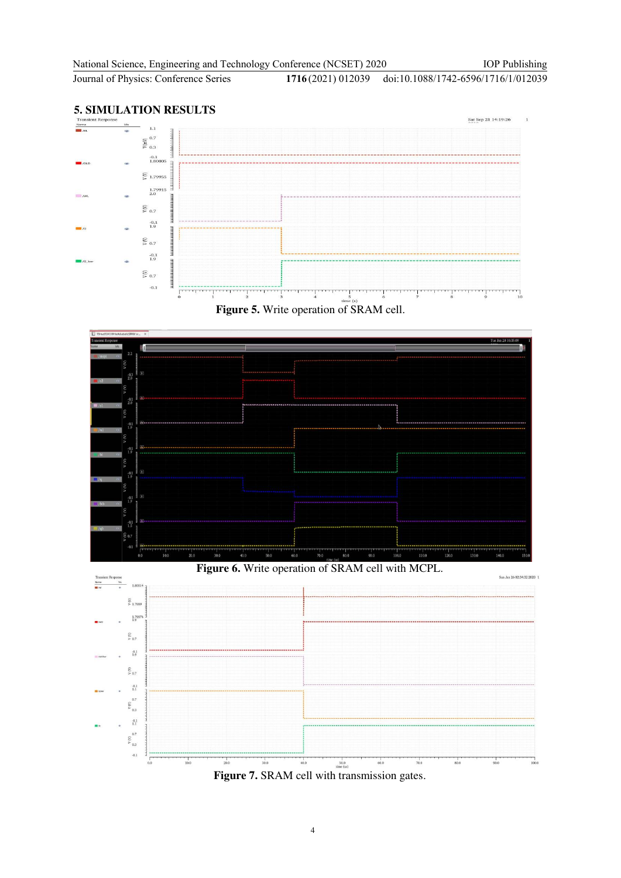IOP Publishing

**Journal of Physics: Conference Series** 

1716(2021) 012039 doi:10.1088/1742-6596/1716/1/012039

# **5. SIMULATION RESULTS**



**Figure 5.** Write operation of SRAM cell.



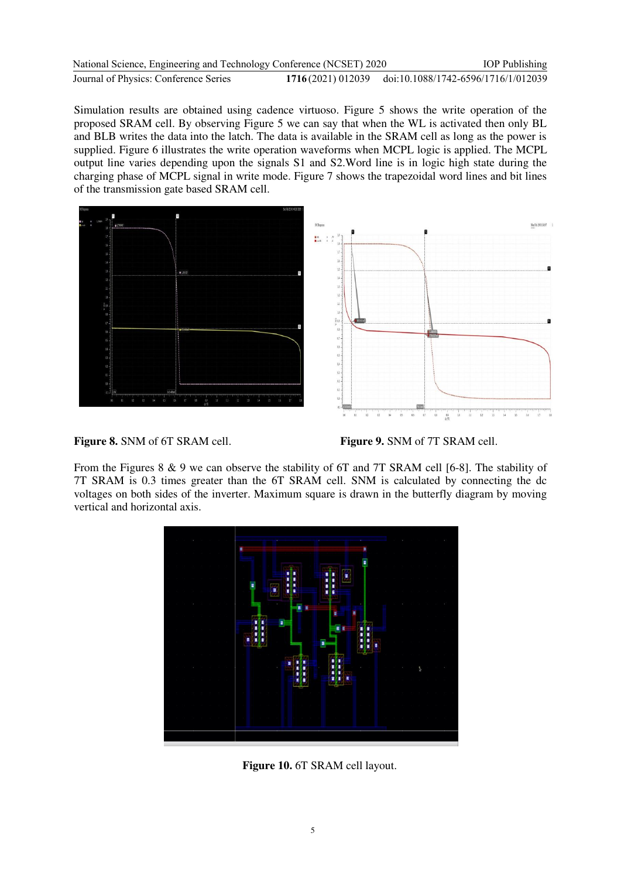| National Science, Engineering and Technology Conference (NCSET) 2020 | <b>IOP</b> Publishing                                 |
|----------------------------------------------------------------------|-------------------------------------------------------|
| Journal of Physics: Conference Series                                | 1716(2021) 012039 doi:10.1088/1742-6596/1716/1/012039 |

Simulation results are obtained using cadence virtuoso. Figure 5 shows the write operation of the proposed SRAM cell. By observing Figure 5 we can say that when the WL is activated then only BL and BLB writes the data into the latch. The data is available in the SRAM cell as long as the power is supplied. Figure 6 illustrates the write operation waveforms when MCPL logic is applied. The MCPL output line varies depending upon the signals S1 and S2.Word line is in logic high state during the charging phase of MCPL signal in write mode. Figure 7 shows the trapezoidal word lines and bit lines of the transmission gate based SRAM cell.





From the Figures 8 & 9 we can observe the stability of 6T and 7T SRAM cell [6-8]. The stability of 7T SRAM is 0.3 times greater than the 6T SRAM cell. SNM is calculated by connecting the dc voltages on both sides of the inverter. Maximum square is drawn in the butterfly diagram by moving vertical and horizontal axis.



**Figure 10.** 6T SRAM cell layout.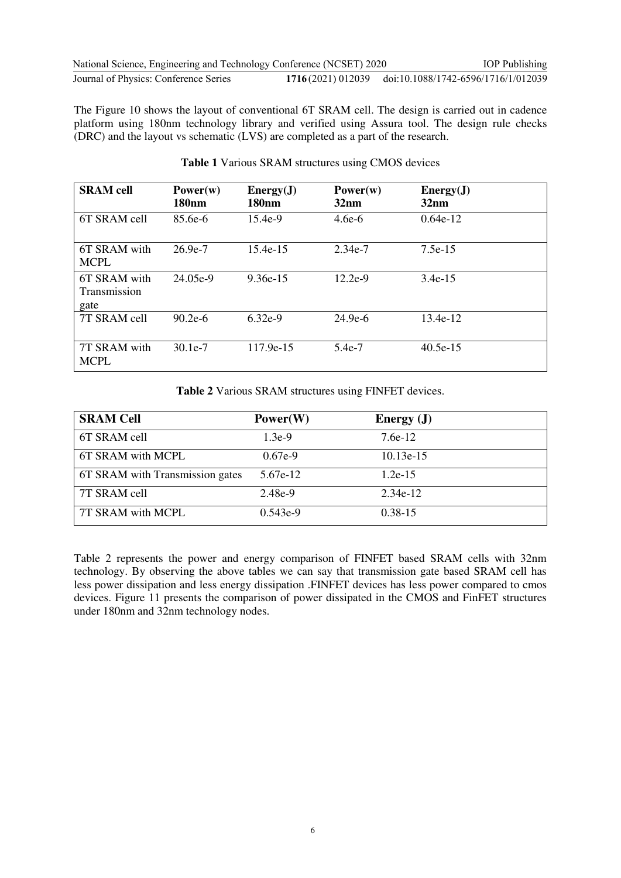| National Science, Engineering and Technology Conference (NCSET) 2020 |                                                       | <b>IOP</b> Publishing |
|----------------------------------------------------------------------|-------------------------------------------------------|-----------------------|
| Journal of Physics: Conference Series                                | 1716(2021) 012039 doi:10.1088/1742-6596/1716/1/012039 |                       |

The Figure 10 shows the layout of conventional 6T SRAM cell. The design is carried out in cadence platform using 180nm technology library and verified using Assura tool. The design rule checks (DRC) and the layout vs schematic (LVS) are completed as a part of the research.

| <b>SRAM</b> cell                            | Power(w)<br><b>180nm</b> | Energy(J)<br><b>180<sub>nm</sub></b> | Power(w)<br>32nm | Energy(J)<br>32nm |
|---------------------------------------------|--------------------------|--------------------------------------|------------------|-------------------|
| 6T SRAM cell                                | $85.6e-6$                | $15.4e-9$                            | $4.6e-6$         | $0.64e-12$        |
| 6T SRAM with<br><b>MCPL</b>                 | $26.9e-7$                | 15.4e-15                             | $2.34e-7$        | 7.5e-15           |
| 6T SRAM with<br><b>Transmission</b><br>gate | 24.05e-9                 | $9.36e-15$                           | $12.2e-9$        | $3.4e-15$         |
| 7T SRAM cell                                | $90.2e-6$                | $6.32e-9$                            | $24.9e-6$        | 13.4e-12          |
| 7T SRAM with<br><b>MCPL</b>                 | $30.1e-7$                | 117.9e-15                            | 5.4e-7           | $40.5e-15$        |

### **Table 1** Various SRAM structures using CMOS devices

**Table 2** Various SRAM structures using FINFET devices.

| <b>SRAM Cell</b>                | Power(W)   | Energy $(J)$ |
|---------------------------------|------------|--------------|
| 6T SRAM cell                    | $1.3e-9$   | $7.6e-12$    |
| 6T SRAM with MCPL               | $0.67e-9$  | 10.13e-15    |
| 6T SRAM with Transmission gates | 5.67e-12   | $1.2e-15$    |
| 7T SRAM cell                    | 2.48e-9    | 2.34e-12     |
| 7T SRAM with MCPL               | $0.543e-9$ | $0.38 - 15$  |

Table 2 represents the power and energy comparison of FINFET based SRAM cells with 32nm technology. By observing the above tables we can say that transmission gate based SRAM cell has less power dissipation and less energy dissipation .FINFET devices has less power compared to cmos devices. Figure 11 presents the comparison of power dissipated in the CMOS and FinFET structures under 180nm and 32nm technology nodes.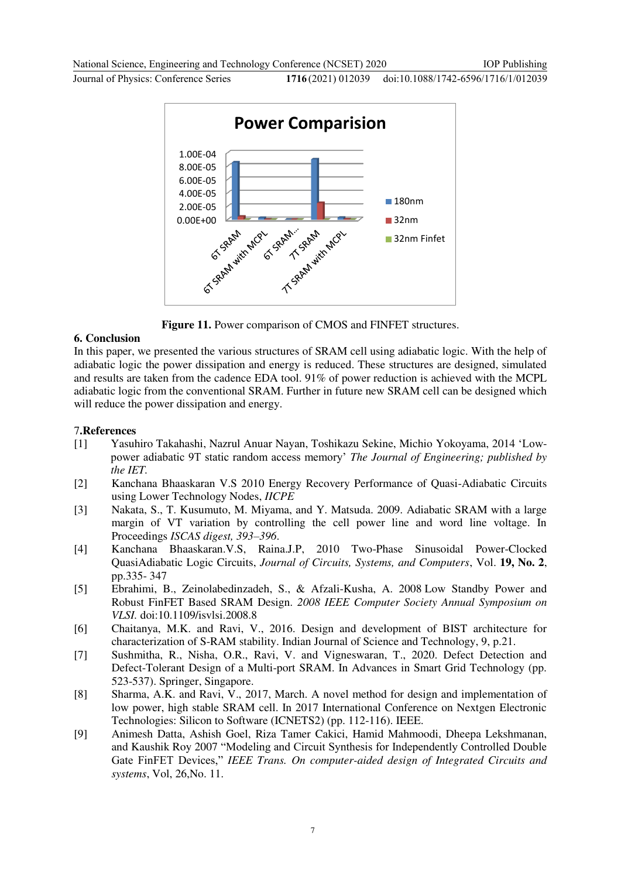Journal of Physics: Conference Series **1716** (2021) 012039

doi:10.1088/1742-6596/1716/1/012039



**Figure 11.** Power comparison of CMOS and FINFET structures.

### **6. Conclusion**

In this paper, we presented the various structures of SRAM cell using adiabatic logic. With the help of adiabatic logic the power dissipation and energy is reduced. These structures are designed, simulated and results are taken from the cadence EDA tool. 91% of power reduction is achieved with the MCPL adiabatic logic from the conventional SRAM. Further in future new SRAM cell can be designed which will reduce the power dissipation and energy.

## 7**.References**

- [1] Yasuhiro Takahashi, Nazrul Anuar Nayan, Toshikazu Sekine, Michio Yokoyama, 2014 'Lowpower adiabatic 9T static random access memory' *The Journal of Engineering; published by the IET.*
- [2] Kanchana Bhaaskaran V.S 2010 Energy Recovery Performance of Quasi-Adiabatic Circuits using Lower Technology Nodes, *IICPE*
- [3] Nakata, S., T. Kusumuto, M. Miyama, and Y. Matsuda. 2009. Adiabatic SRAM with a large margin of VT variation by controlling the cell power line and word line voltage. In Proceedings *ISCAS digest, 393–396*.
- [4] Kanchana Bhaaskaran.V.S, Raina.J.P, 2010 Two-Phase Sinusoidal Power-Clocked QuasiAdiabatic Logic Circuits, *Journal of Circuits, Systems, and Computers*, Vol. **19, No. 2**, pp.335- 347
- [5] Ebrahimi, B., Zeinolabedinzadeh, S., & Afzali-Kusha, A. 2008 Low Standby Power and Robust FinFET Based SRAM Design. *2008 IEEE Computer Society Annual Symposium on VLSI.* doi:10.1109/isvlsi.2008.8
- [6] Chaitanya, M.K. and Ravi, V., 2016. Design and development of BIST architecture for characterization of S-RAM stability. Indian Journal of Science and Technology, 9, p.21.
- [7] Sushmitha, R., Nisha, O.R., Ravi, V. and Vigneswaran, T., 2020. Defect Detection and Defect-Tolerant Design of a Multi-port SRAM. In Advances in Smart Grid Technology (pp. 523-537). Springer, Singapore.
- [8] Sharma, A.K. and Ravi, V., 2017, March. A novel method for design and implementation of low power, high stable SRAM cell. In 2017 International Conference on Nextgen Electronic Technologies: Silicon to Software (ICNETS2) (pp. 112-116). IEEE.
- [9] Animesh Datta, Ashish Goel, Riza Tamer Cakici, Hamid Mahmoodi, Dheepa Lekshmanan, and Kaushik Roy 2007 "Modeling and Circuit Synthesis for Independently Controlled Double Gate FinFET Devices," *IEEE Trans. On computer-aided design of Integrated Circuits and systems*, Vol, 26,No. 11.